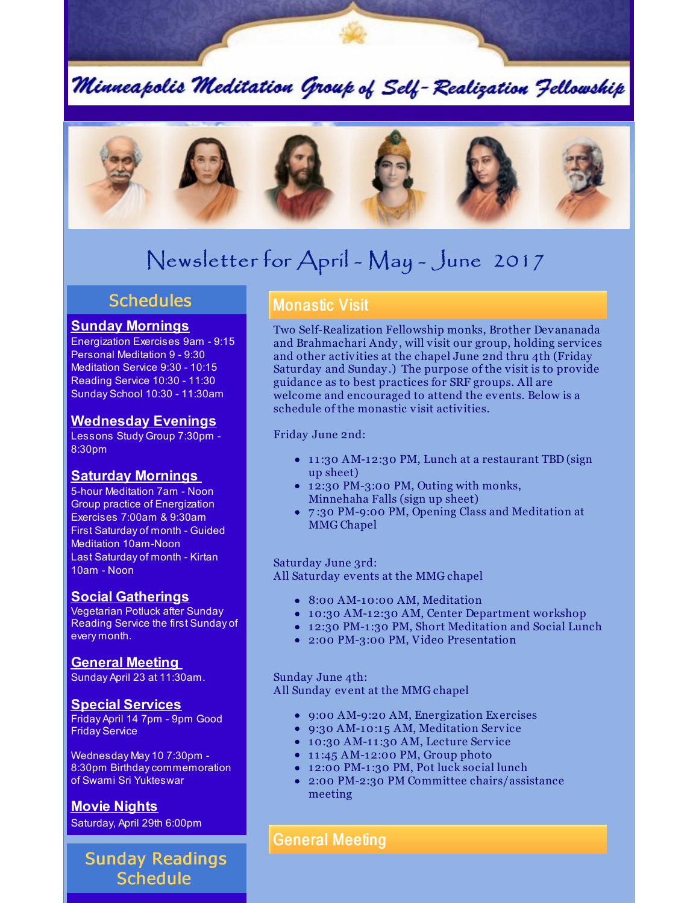Minneapolis Meditation Group of Self-Realization Fellowship



# Newsletter for April - May - June 2017

### **Schedules**

#### **Sunday Mornings**

Energization Exercises 9am - 9:15 Personal Meditation 9 - 9:30 Meditation Service 9:30 - 10:15 Reading Service 10:30 - 11:30 Sunday School 10:30 - 11:30am

#### **Wednesday Evenings**

Lessons Study Group 7:30pm - 8:30pm

#### **Saturday Mornings**

5-hour Meditation 7am - Noon Group practice of Energization Exercises 7:00am & 9:30am First Saturday of month - Guided Meditation 10am-Noon Last Saturday of month - Kirtan 10am - Noon

#### **Social Gatherings**

Vegetarian Potluck after Sunday Reading Service the first Sunday of every month.

**General Meeting**

Sunday April 23 at 11:30am.

**Special Services** Friday April 14 7pm - 9pm Good Friday Service

Wednesday May 10 7:30pm - 8:30pm Birthdaycommemoration of Swami Sri Yukteswar

**Movie Nights** Saturday, April 29th 6:00pm

## Sunday Readings Schedule

### Monastic Visit

Two Self-Realization Fellowship monks, Brother Devananada and Brahmachari Andy , will visit our group, holding services and other activities at the chapel June 2nd thru 4th (Friday Saturday and Sunday .) The purpose of the visit is to provide guidance as to best practices for SRF groups. All are welcome and encouraged to attend the events. Below is a schedule of the monastic visit activities.

Friday June 2nd:

- 11:30 AM-12:30 PM, Lunch at a restaurant TBD (sign up sheet)
- 12:30 PM-3:00 PM, Outing with monks, Minnehaha Falls (sign up sheet)
- 7 :30 PM-9:00 PM, Opening Class and Meditation at MMG Chapel

Saturday June 3rd: All Saturday events at the MMG chapel

- 8:00 AM-10:00 AM, Meditation
- 10:30 AM-12:30 AM, Center Department workshop
- 12:30 PM-1 :30 PM, Short Meditation and Social Lunch
- 2:00 PM-3:00 PM, Video Presentation

Sunday June 4th: All Sunday event at the MMG chapel

- 9:00 AM-9:20 AM, Energization Exercises
- 9:30 AM-10:15 AM, Meditation Service
- 10:30 AM-11:30 AM, Lecture Service
- $\bullet$  11:45 AM-12:00 PM, Group photo
- 12:00 PM-1 :30 PM, Pot luck social lunch
- 2:00 PM-2:30 PM Committee chairs/assistance meeting

### General Meeting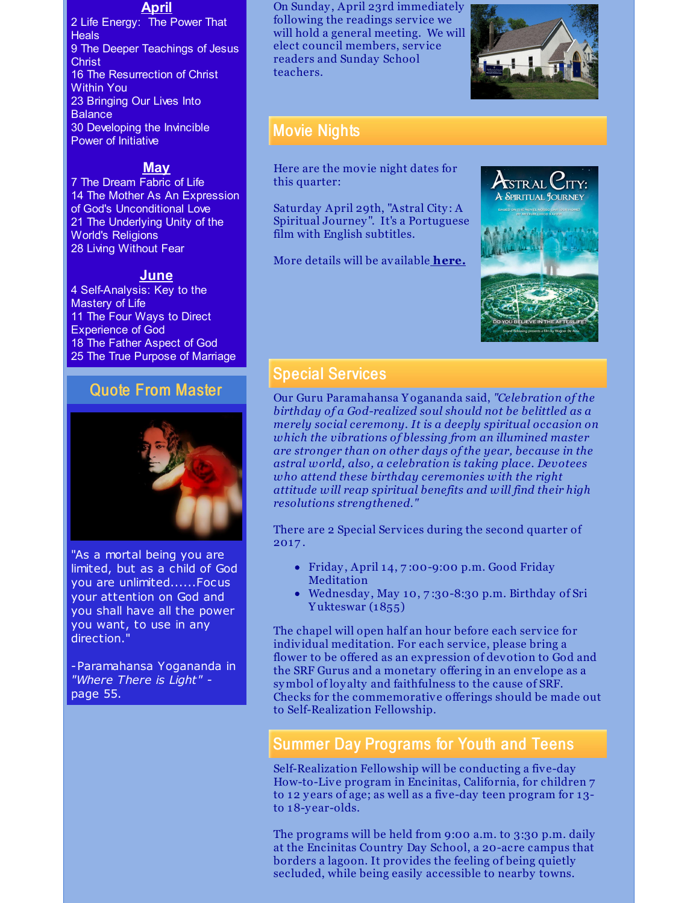#### **April**

2 Life Energy: The Power That **Heals** 9 The Deeper Teachings of Jesus **Christ** 16 The Resurrection of Christ Within You 23 Bringing Our Lives Into **Balance** 30 Developing the Invincible Power of Initiative

#### **May**

 The Dream Fabric of Life The Mother As An Expression of God's Unconditional Love The Underlying Unity of the World's Religions Living Without Fear

#### **June**

 Self-Analysis: Key to the Mastery of Life The Four Ways to Direct Experience of God The Father Aspect of God The True Purpose of Marriage

### Quote From Master



"As a mortal being you are limited, but as a child of God you are unlimited......Focus your attention on God and you shall have all the power you want, to use in any direction."

-Paramahansa Yogananda in *"Where There is Light"*  page 55.

On Sunday , April 23rd immediately following the readings service we will hold a general meeting. We will elect council members, service readers and Sunday School teachers.



### Movie Nights

Here are the movie night dates for this quarter:

Saturday April 29th, "Astral City : A Spiritual Journey ". It's a Portuguese film with English subtitles.

More details will be available **[here.](http://www.srfminneapolis.org/movienight.html)**



#### Special Services

Our Guru Paramahansa Y ogananda said, *"Celebration of the birthday of a God-realized soul should not be belittled as a merely social ceremony. It is a deeply spiritual occasion on which the vibrations of blessing from an illumined master are stronger than on other days of the year, because in the astral world, also, a celebration is taking place. Devotees who attend these birthday ceremonies with the right attitude will reap spiritual benefits and will find their high resolutions strengthened."*

There are 2 Special Services during the second quarter of 2017 .

- Friday , April 14, 7 :00-9:00 p.m. Good Friday Meditation
- Wednesday , May 10, 7 :30-8:30 p.m. Birthday of Sri Y ukteswar (1855)

The chapel will open half an hour before each service for individual meditation. For each service, please bring a flower to be offered as an expression of devotion to God and the SRF Gurus and a monetary offering in an envelope as a symbol of loy alty and faithfulness to the cause of SRF. Checks for the commemorative offerings should be made out to Self-Realization Fellowship.

### Summer Day Programs for Youth and Teens

Self-Realization Fellowship will be conducting a five-day How-to-Live program in Encinitas, California, for children 7 to 12 y ears of age; as well as a five-day teen program for 13 to 18-y ear-olds.

The programs will be held from 9:00 a.m. to 3:30 p.m. daily at the Encinitas Country Day School, a 20-acre campus that borders a lagoon. It provides the feeling of being quietly secluded, while being easily accessible to nearby towns.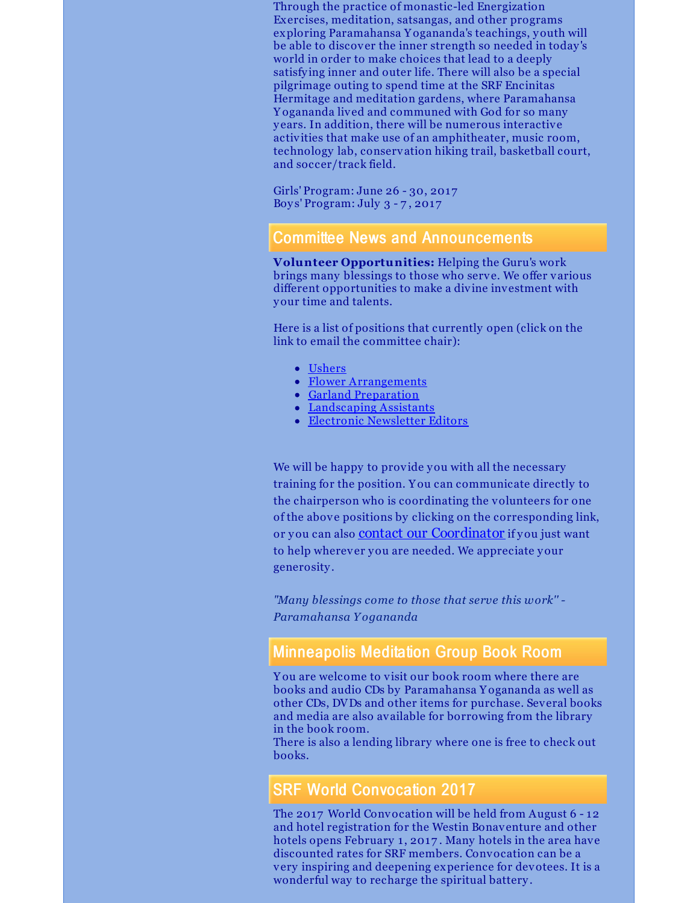Through the practice of monastic-led Energization Exercises, meditation, satsangas, and other programs exploring Paramahansa Y ogananda's teachings, youth will be able to discover the inner strength so needed in today 's world in order to make choices that lead to a deeply satisfy ing inner and outer life. There will also be a special pilgrimage outing to spend time at the SRF Encinitas Hermitage and meditation gardens, where Paramahansa Y ogananda lived and communed with God for so many y ears. In addition, there will be numerous interactive activities that make use of an amphitheater, music room, technology lab, conservation hiking trail, basketball court, and soccer/track field.

Girls' Program: June 26 - 30, 2017 Boy s' Program: July 3 - 7 , 2017

#### Committee News and Announcements

**Volunteer Opportunities:** Helping the Guru's work brings many blessings to those who serve. We offer various different opportunities to make a divine investment with your time and talents.

Here is a list of positions that currently open (click on the link to email the committee chair):

- [Ushers](mailto:ushers@srfminneapolis.org)
- Flower [Arrangements](mailto:flowers@srfminneapolis.org)
- Garland [Preparation](mailto:garlands@srfminneapolis.org)
- [Landscaping](mailto:landscaping@srfminneapolis.org) Assistants
- Electronic [Newsletter](mailto:terry.schwab@srfminneapolis.org) Editors

We will be happy to provide you with all the necessary training for the position. Y ou can communicate directly to the chairperson who is coordinating the volunteers for one of the above positions by clicking on the corresponding link, or you can also contact our [Coordinator](mailto:coordinator@srfminneapolis.org) if you just want to help wherever you are needed. We appreciate your generosity .

*"Many blessings come to those that serve this work'' - Paramahansa Y ogananda*

### Minneapolis Meditation Group Book Room

Y ou are welcome to visit our book room where there are books and audio CDs by Paramahansa Y ogananda as well as other CDs, DVDs and other items for purchase. Several books and media are also available for borrowing from the library in the book room.

There is also a lending library where one is free to check out books.

### SRF World Convocation 2017

The 2017 World Convocation will be held from August 6 - 12 and hotel registration for the Westin Bonaventure and other hotels opens February 1, 2017. Many hotels in the area have discounted rates for SRF members. Convocation can be a very inspiring and deepening experience for devotees. It is a wonderful way to recharge the spiritual battery .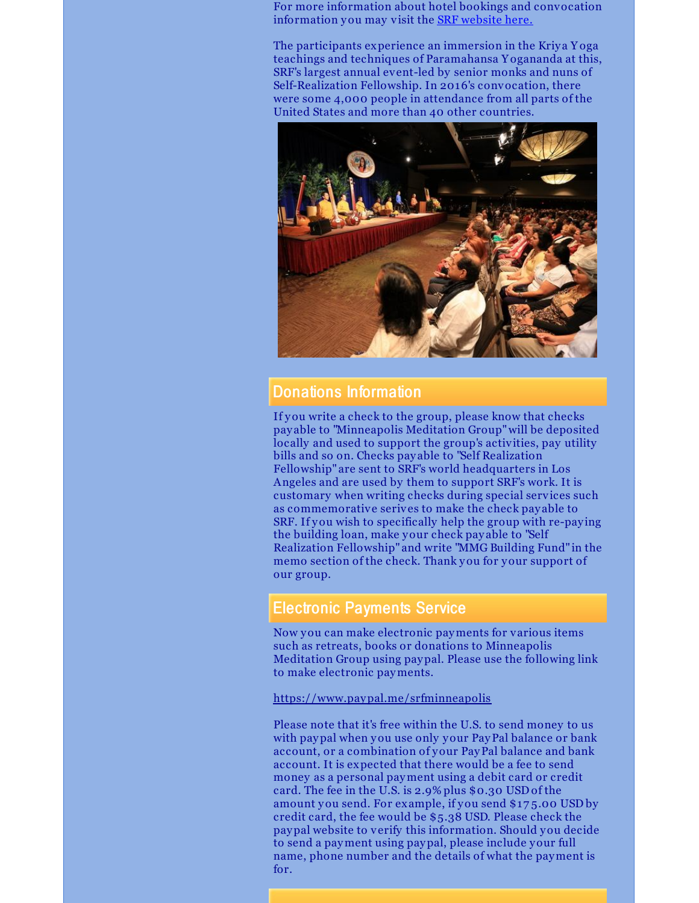For more information about hotel bookings and convocation information you may visit the SRF [website](http://www.yogananda-srf.org/srf_world_convocation.aspx#.WGXknvkrKUl) here.

The participants experience an immersion in the Kriya Yoga teachings and techniques of Paramahansa Y ogananda at this, SRF's largest annual event-led by senior monks and nuns of Self-Realization Fellowship. In 2016's convocation, there were some 4,000 people in attendance from all parts of the United States and more than 40 other countries.



#### Donations Information

If you write a check to the group, please know that checks pay able to "Minneapolis Meditation Group"will be deposited locally and used to support the group's activities, pay utility bills and so on. Checks pay able to "Self Realization Fellowship" are sent to SRF's world headquarters in Los Angeles and are used by them to support SRF's work. It is customary when writing checks during special services such as commemorative serives to make the check pay able to SRF. If you wish to specifically help the group with re-pay ing the building loan, make your check pay able to "Self Realization Fellowship" and write "MMG Building Fund" in the memo section of the check. Thank you for your support of our group.

#### Electronic Payments Service

Now you can make electronic payments for various items such as retreats, books or donations to Minneapolis Meditation Group using paypal. Please use the following link to make electronic payments.

<https://www.paypal.me/srfminneapolis>

Please note that it's free within the U.S. to send money to us with paypal when you use only your PayPal balance or bank account, or a combination of your PayPal balance and bank account. It is expected that there would be a fee to send money as a personal payment using a debit card or credit card. The fee in the U.S. is 2.9% plus \$0.30 USD of the amount you send. For example, if you send \$17 5.00 USD by credit card, the fee would be \$5.38 USD. Please check the paypal website to verify this information. Should you decide to send a payment using paypal, please include your full name, phone number and the details of what the payment is for.